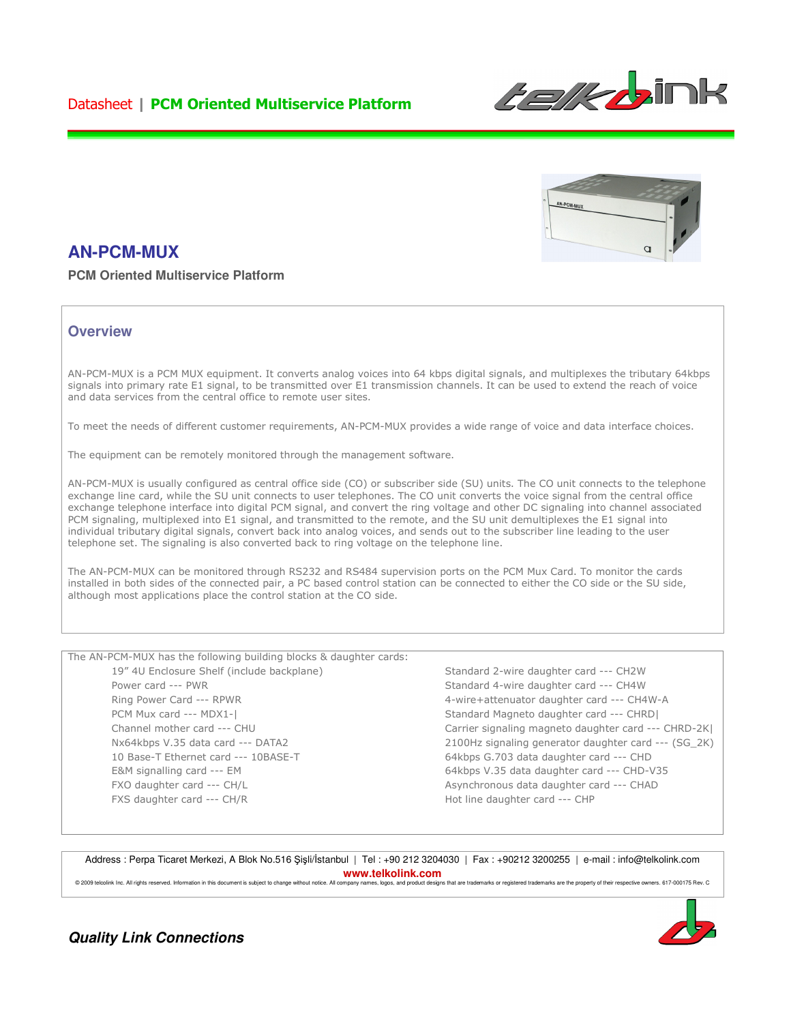## Datasheet | PCM Oriented Multiservice Platform





# **AN-PCM-MUX**

**PCM Oriented Multiservice Platform**

### **Overview**

AN-PCM-MUX is a PCM MUX equipment. It converts analog voices into 64 kbps digital signals, and multiplexes the tributary 64kbps signals into primary rate E1 signal, to be transmitted over E1 transmission channels. It can be used to extend the reach of voice and data services from the central office to remote user sites.

To meet the needs of different customer requirements, AN-PCM-MUX provides a wide range of voice and data interface choices.

The equipment can be remotely monitored through the management software.

AN-PCM-MUX is usually configured as central office side (CO) or subscriber side (SU) units. The CO unit connects to the telephone exchange line card, while the SU unit connects to user telephones. The CO unit converts the voice signal from the central office exchange telephone interface into digital PCM signal, and convert the ring voltage and other DC signaling into channel associated PCM signaling, multiplexed into E1 signal, and transmitted to the remote, and the SU unit demultiplexes the E1 signal into individual tributary digital signals, convert back into analog voices, and sends out to the subscriber line leading to the user telephone set. The signaling is also converted back to ring voltage on the telephone line.

The AN-PCM-MUX can be monitored through RS232 and RS484 supervision ports on the PCM Mux Card. To monitor the cards installed in both sides of the connected pair, a PC based control station can be connected to either the CO side or the SU side, although most applications place the control station at the CO side.

The AN-PCM-MUX has the following building blocks & daughter cards: 19" 4U Enclosure Shelf (include backplane) Power card --- PWR

Ring Power Card --- RPWR PCM Mux card --- MDX1-| Channel mother card --- CHU Nx64kbps V.35 data card --- DATA2 10 Base-T Ethernet card --- 10BASE-T E&M signalling card --- EM FXO daughter card --- CH/L FXS daughter card --- CH/R

Standard 2-wire daughter card --- CH2W Standard 4-wire daughter card --- CH4W 4-wire+attenuator daughter card --- CH4W-A Standard Magneto daughter card --- CHRD| Carrier signaling magneto daughter card --- CHRD-2K| 2100Hz signaling generator daughter card --- (SG\_2K) 64kbps G.703 data daughter card --- CHD 64kbps V.35 data daughter card --- CHD-V35 Asynchronous data daughter card --- CHAD Hot line daughter card --- CHP

Address : Perpa Ticaret Merkezi, A Blok No.516 Şişli/İstanbul | Tel : +90 212 3204030 | Fax : +90212 3200255 | e-mail : info@telkolink.com **www.telkolink.com** 

© 2009 telcolink Inc. All rights reserved. Information in this document is subject to change without notice. All commany names, logos and product designs that are trademarks or registered trademarks are the property of the